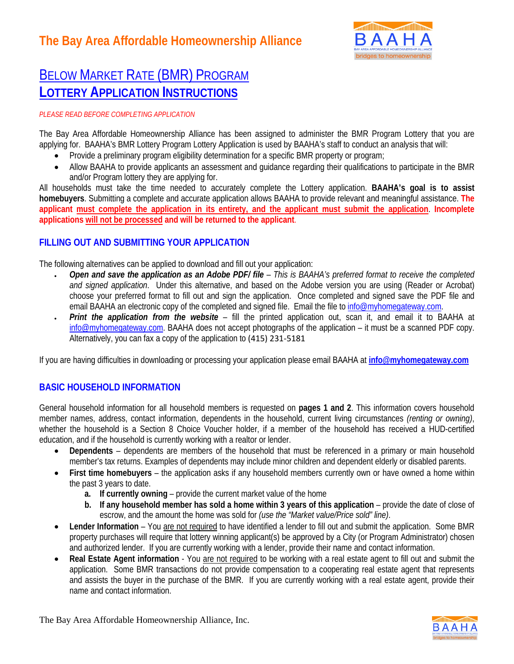

# BELOW MARKET RATE (BMR) PROGRAM **LOTTERY APPLICATION INSTRUCTIONS**

### *PLEASE READ BEFORE COMPLETING APPLICATION*

The Bay Area Affordable Homeownership Alliance has been assigned to administer the BMR Program Lottery that you are applying for. BAAHA's BMR Lottery Program Lottery Application is used by BAAHA's staff to conduct an analysis that will:

- Provide a preliminary program eligibility determination for a specific BMR property or program;
- Allow BAAHA to provide applicants an assessment and guidance regarding their qualifications to participate in the BMR and/or Program lottery they are applying for.

All households must take the time needed to accurately complete the Lottery application. **BAAHA's goal is to assist homebuyers**. Submitting a complete and accurate application allows BAAHA to provide relevant and meaningful assistance. **The applicant must complete the application in its entirety, and the applicant must submit the application**. **Incomplete applications will not be processed and will be returned to the applicant**.

### **FILLING OUT AND SUBMITTING YOUR APPLICATION**

The following alternatives can be applied to download and fill out your application:

- *Open and save the application as an Adobe PDF/ file This is BAAHA's preferred format to receive the completed and signed application*. Under this alternative, and based on the Adobe version you are using (Reader or Acrobat) choose your preferred format to fill out and sign the application. Once completed and signed save the PDF file and email BAAHA an electronic copy of the completed and signed file. Email the file to [info@myhomegateway.com.](mailto:info@myhomegateway.com)
- *Print the application from the website* fill the printed application out, scan it, and email it to BAAHA at [info@myhomegateway.com.](mailto:info@myhomegateway.com) BAAHA does not accept photographs of the application – it must be a scanned PDF copy. Alternatively, you can fax a copy of the application to (415) 231-5181

If you are having difficulties in downloading or processing your application please email BAAHA at **[info@myhomegateway.com](mailto:info@myhomegateway.com)** 

### **BASIC HOUSEHOLD INFORMATION**

General household information for all household members is requested on **pages 1 and 2**. This information covers household member names, address, contact information, dependents in the household, current living circumstances *(renting or owning)*, whether the household is a Section 8 Choice Voucher holder, if a member of the household has received a HUD-certified education, and if the household is currently working with a realtor or lender.

- **Dependents** dependents are members of the household that must be referenced in a primary or main household member's tax returns. Examples of dependents may include minor children and dependent elderly or disabled parents.
- **First time homebuyers**  the application asks if any household members currently own or have owned a home within the past 3 years to date.
	- **a. If currently owning**  provide the current market value of the home
	- **b.** If any household member has sold a home within 3 years of this application provide the date of close of escrow, and the amount the home was sold for *(use the "Market value/Price sold" line)*.
- **Lender Information**  You are not required to have identified a lender to fill out and submit the application. Some BMR property purchases will require that lottery winning applicant(s) be approved by a City (or Program Administrator) chosen and authorized lender. If you are currently working with a lender, provide their name and contact information.
- **Real Estate Agent information** You are not required to be working with a real estate agent to fill out and submit the application. Some BMR transactions do not provide compensation to a cooperating real estate agent that represents and assists the buyer in the purchase of the BMR. If you are currently working with a real estate agent, provide their name and contact information.

The Bay Area Affordable Homeownership Alliance, Inc.

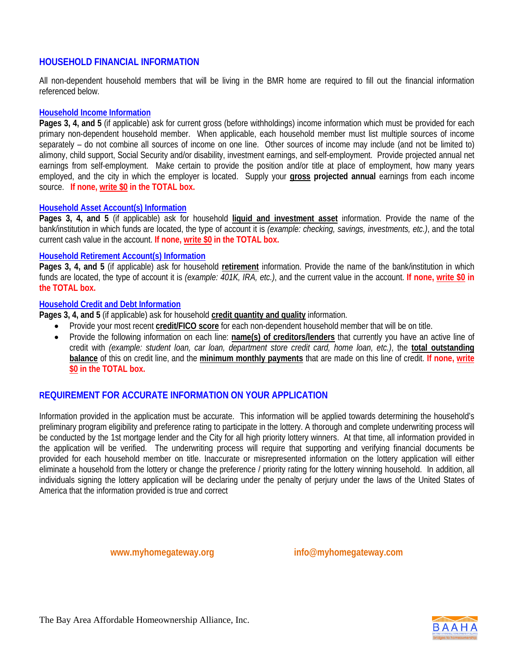### **HOUSEHOLD FINANCIAL INFORMATION**

All non-dependent household members that will be living in the BMR home are required to fill out the financial information referenced below.

### **Household Income Information**

**Pages 3, 4, and 5** (if applicable) ask for current gross (before withholdings) income information which must be provided for each primary non-dependent household member. When applicable, each household member must list multiple sources of income separately – do not combine all sources of income on one line. Other sources of income may include (and not be limited to) alimony, child support, Social Security and/or disability, investment earnings, and self-employment. Provide projected annual net earnings from self-employment. Make certain to provide the position and/or title at place of employment, how many years employed, and the city in which the employer is located. Supply your **gross projected annual** earnings from each income source. **If none, write \$0 in the TOTAL box.**

### **Household Asset Account(s) Information**

**Pages 3, 4, and 5** (if applicable) ask for household **liquid and investment asset** information. Provide the name of the bank/institution in which funds are located, the type of account it is *(example: checking, savings, investments, etc.)*, and the total current cash value in the account. **If none, write \$0 in the TOTAL box.**

### **Household Retirement Account(s) Information**

**Pages 3, 4, and 5** (if applicable) ask for household **retirement** information. Provide the name of the bank/institution in which funds are located, the type of account it is *(example: 401K, IRA, etc.)*, and the current value in the account. **If none, write \$0 in the TOTAL box.**

### **Household Credit and Debt Information**

**Pages 3, 4, and 5** (if applicable) ask for household **credit quantity and quality** information.

- Provide your most recent **credit/FICO score** for each non-dependent household member that will be on title.
- Provide the following information on each line: **name(s) of creditors/lenders** that currently you have an active line of credit with *(example: student loan, car loan, department store credit card, home loan, etc.)*, the **total outstanding balance** of this on credit line, and the **minimum monthly payments** that are made on this line of credit. **If none, write \$0 in the TOTAL box.**

### **REQUIREMENT FOR ACCURATE INFORMATION ON YOUR APPLICATION**

Information provided in the application must be accurate. This information will be applied towards determining the household's preliminary program eligibility and preference rating to participate in the lottery. A thorough and complete underwriting process will be conducted by the 1st mortgage lender and the City for all high priority lottery winners. At that time, all information provided in the application will be verified. The underwriting process will require that supporting and verifying financial documents be provided for each household member on title. Inaccurate or misrepresented information on the lottery application will either eliminate a household from the lottery or change the preference / priority rating for the lottery winning household. In addition, all individuals signing the lottery application will be declaring under the penalty of perjury under the laws of the United States of America that the information provided is true and correct

**www.myhomegateway.org info@myhomegateway.com**

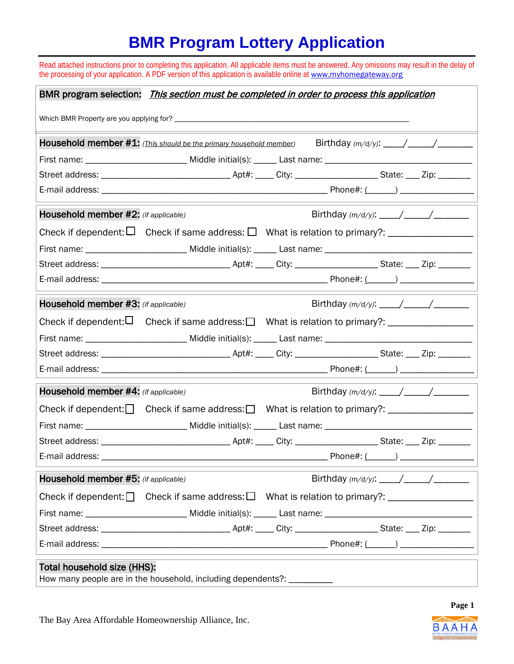# **BMR Program Lottery Application**

|                                      | Read attached instructions prior to completing this application. All applicable items must be answered. Any omissions may result in the delay of<br>the processing of your application. A PDF version of this application is available online at www.myhomegateway.org |  |  |
|--------------------------------------|------------------------------------------------------------------------------------------------------------------------------------------------------------------------------------------------------------------------------------------------------------------------|--|--|
|                                      | BMR program selection: <i>This section must be completed in order to process this application</i>                                                                                                                                                                      |  |  |
|                                      |                                                                                                                                                                                                                                                                        |  |  |
|                                      | <b>Household member #1:</b> (This should be the primary household member)                                                                                                                                                                                              |  |  |
|                                      |                                                                                                                                                                                                                                                                        |  |  |
|                                      |                                                                                                                                                                                                                                                                        |  |  |
|                                      |                                                                                                                                                                                                                                                                        |  |  |
| Household member #2: (if applicable) |                                                                                                                                                                                                                                                                        |  |  |
|                                      |                                                                                                                                                                                                                                                                        |  |  |
|                                      | First name: _____________________________ Middle initial(s): ______ Last name: _______________________________                                                                                                                                                         |  |  |
|                                      |                                                                                                                                                                                                                                                                        |  |  |
|                                      |                                                                                                                                                                                                                                                                        |  |  |
| Household member #3: (if applicable) |                                                                                                                                                                                                                                                                        |  |  |
|                                      | Check if dependent: $\Box$ Check if same address: $\Box$ What is relation to primary?: _________________                                                                                                                                                               |  |  |
|                                      | First name: _____________________________ Middle initial(s): ______ Last name: _______________________________                                                                                                                                                         |  |  |
|                                      |                                                                                                                                                                                                                                                                        |  |  |
|                                      |                                                                                                                                                                                                                                                                        |  |  |
| Household member #4: (if applicable) |                                                                                                                                                                                                                                                                        |  |  |
|                                      | Check if dependent: $\Box$ Check if same address: $\Box$ What is relation to primary?: $\Box$                                                                                                                                                                          |  |  |
|                                      |                                                                                                                                                                                                                                                                        |  |  |
|                                      |                                                                                                                                                                                                                                                                        |  |  |
|                                      |                                                                                                                                                                                                                                                                        |  |  |
| Household member #5: (if applicable) |                                                                                                                                                                                                                                                                        |  |  |
|                                      | Check if dependent: $\Box$ Check if same address: $\Box$ What is relation to primary?:                                                                                                                                                                                 |  |  |
|                                      |                                                                                                                                                                                                                                                                        |  |  |
|                                      |                                                                                                                                                                                                                                                                        |  |  |
|                                      |                                                                                                                                                                                                                                                                        |  |  |
| Total household size (HHS):          | $\mathbf{r}$ . The state of the state of the state of the state of the state of the state of the state of the state of the state of the state of the state of the state of the state of the state of the state of the state of th                                      |  |  |

How many people are in the household, including dependents?:



**Page 1**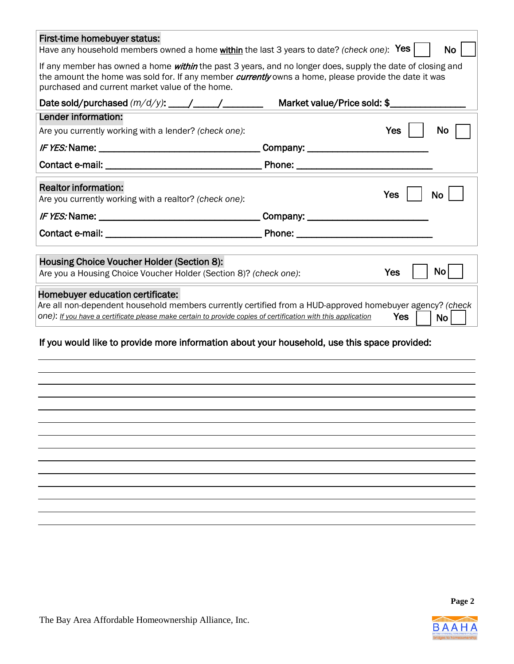| First-time homebuyer status:<br>Have any household members owned a home within the last 3 years to date? (check one): Yes                                                                                                                                                            |                                                                                                                                                                                                                                     |            | <b>No</b> |
|--------------------------------------------------------------------------------------------------------------------------------------------------------------------------------------------------------------------------------------------------------------------------------------|-------------------------------------------------------------------------------------------------------------------------------------------------------------------------------------------------------------------------------------|------------|-----------|
| If any member has owned a home <i>within</i> the past 3 years, and no longer does, supply the date of closing and<br>the amount the home was sold for. If any member <i>currently</i> owns a home, please provide the date it was<br>purchased and current market value of the home. |                                                                                                                                                                                                                                     |            |           |
|                                                                                                                                                                                                                                                                                      | Market value/Price sold: \$                                                                                                                                                                                                         |            |           |
| Lender information:                                                                                                                                                                                                                                                                  |                                                                                                                                                                                                                                     |            |           |
| Are you currently working with a lender? (check one):                                                                                                                                                                                                                                |                                                                                                                                                                                                                                     | Yes        | No        |
|                                                                                                                                                                                                                                                                                      | Company:                                                                                                                                                                                                                            |            |           |
|                                                                                                                                                                                                                                                                                      |                                                                                                                                                                                                                                     |            |           |
| <b>Realtor information:</b>                                                                                                                                                                                                                                                          |                                                                                                                                                                                                                                     |            |           |
| Are you currently working with a realtor? (check one):                                                                                                                                                                                                                               |                                                                                                                                                                                                                                     | <b>Yes</b> | <b>No</b> |
|                                                                                                                                                                                                                                                                                      | Company: _________                                                                                                                                                                                                                  |            |           |
|                                                                                                                                                                                                                                                                                      | <b>Phone:</b> The contract of the contract of the contract of the contract of the contract of the contract of the contract of the contract of the contract of the contract of the contract of the contract of the contract of the c |            |           |
| Housing Choice Voucher Holder (Section 8):                                                                                                                                                                                                                                           |                                                                                                                                                                                                                                     |            |           |
| Are you a Housing Choice Voucher Holder (Section 8)? (check one):                                                                                                                                                                                                                    |                                                                                                                                                                                                                                     | Yes        | Nο        |
| Homebuyer education certificate:<br>Are all non-dependent household members currently certified from a HUD-approved homebuyer agency? (check<br>one): If you have a certificate please make certain to provide copies of certification with this application                         |                                                                                                                                                                                                                                     | Yes        | <b>No</b> |
| If you would like to provide more information about your household, use this space provided:                                                                                                                                                                                         |                                                                                                                                                                                                                                     |            |           |
|                                                                                                                                                                                                                                                                                      |                                                                                                                                                                                                                                     |            |           |
|                                                                                                                                                                                                                                                                                      |                                                                                                                                                                                                                                     |            |           |
|                                                                                                                                                                                                                                                                                      |                                                                                                                                                                                                                                     |            |           |
|                                                                                                                                                                                                                                                                                      |                                                                                                                                                                                                                                     |            |           |
|                                                                                                                                                                                                                                                                                      |                                                                                                                                                                                                                                     |            |           |
|                                                                                                                                                                                                                                                                                      |                                                                                                                                                                                                                                     |            |           |
|                                                                                                                                                                                                                                                                                      |                                                                                                                                                                                                                                     |            |           |

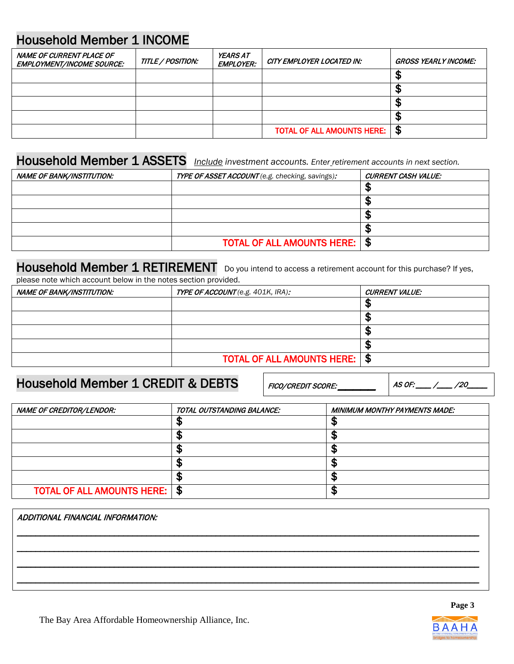# Household Member 1 INCOME

| NAME OF CURRENT PLACE OF<br><b>EMPLOYMENT/INCOME SOURCE:</b> | TITLE / POSITION: | <b>YEARS AT</b><br><b>EMPLOYER:</b> | CITY EMPLOYER LOCATED IN:         | GROSS YEARLY INCOME: |
|--------------------------------------------------------------|-------------------|-------------------------------------|-----------------------------------|----------------------|
|                                                              |                   |                                     |                                   |                      |
|                                                              |                   |                                     |                                   | м.                   |
|                                                              |                   |                                     |                                   |                      |
|                                                              |                   |                                     |                                   | мL                   |
|                                                              |                   |                                     | <b>TOTAL OF ALL AMOUNTS HERE:</b> | - \$                 |

### Household Member 1 ASSETS *Include investment accounts. Enter retirement accounts in next section.*

| NAME OF BANK/INSTITUTION: | TYPE OF ASSET ACCOUNT (e.g. checking, savings): | CURRENT CASH VALUE: |
|---------------------------|-------------------------------------------------|---------------------|
|                           |                                                 |                     |
|                           |                                                 |                     |
|                           |                                                 |                     |
|                           |                                                 |                     |
|                           | <b>TOTAL OF ALL AMOUNTS HERE:   \$</b>          |                     |

# Household Member 1 RETIREMENT Do you intend to access a retirement account for this purchase? If yes,

please note which account below in the notes section provided.

| <b>NAME OF BANK/INSTITUTION:</b> | <b>TYPE OF ACCOUNT</b> (e.g. 401K, IRA): | <b>CURRENT VALUE:</b> |
|----------------------------------|------------------------------------------|-----------------------|
|                                  |                                          | sЕ                    |
|                                  |                                          |                       |
|                                  |                                          | мD                    |
|                                  |                                          |                       |
|                                  | <b>TOTAL OF ALL AMOUNTS HERE:   \$</b>   |                       |

## Household Member 1 CREDIT & DEBTS

FICO/CREDIT SCORE: \_\_\_\_\_ AS OF: \_\_\_ /\_\_\_ /20\_\_\_\_

| NAME OF CREDITOR/LENDOR:               | TOTAL OUTSTANDING BALANCE: | <b>MINIMUM MONTHY PAYMENTS MADE:</b> |
|----------------------------------------|----------------------------|--------------------------------------|
|                                        |                            |                                      |
|                                        |                            |                                      |
|                                        |                            |                                      |
|                                        |                            |                                      |
|                                        |                            |                                      |
| <b>TOTAL OF ALL AMOUNTS HERE:   \$</b> |                            |                                      |

| ADDITIONAL FINANCIAL INFORMATION: |  |
|-----------------------------------|--|
|                                   |  |
|                                   |  |
|                                   |  |

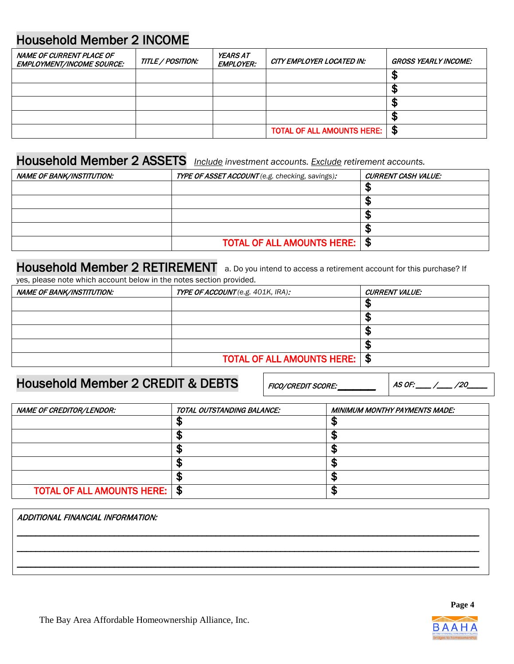# Household Member 2 INCOME

| NAME OF CURRENT PLACE OF<br><b>EMPLOYMENT/INCOME SOURCE:</b> | TITLE / POSITION: | <b>YEARS AT</b><br><b>EMPLOYER:</b> | CITY EMPLOYER LOCATED IN:         | GROSS YEARLY INCOME: |
|--------------------------------------------------------------|-------------------|-------------------------------------|-----------------------------------|----------------------|
|                                                              |                   |                                     |                                   |                      |
|                                                              |                   |                                     |                                   | мD                   |
|                                                              |                   |                                     |                                   | Æ                    |
|                                                              |                   |                                     |                                   | мF                   |
|                                                              |                   |                                     | <b>TOTAL OF ALL AMOUNTS HERE:</b> | £                    |

## Household Member 2 ASSETS *Include investment accounts. Exclude retirement accounts.*

| NAME OF BANK/INSTITUTION: | TYPE OF ASSET ACCOUNT (e.g. checking, savings): | CURRENT CASH VALUE: |
|---------------------------|-------------------------------------------------|---------------------|
|                           |                                                 |                     |
|                           |                                                 |                     |
|                           |                                                 |                     |
|                           |                                                 |                     |
|                           | <b>TOTAL OF ALL AMOUNTS HERE:   \$</b>          |                     |

### Household Member 2 RETIREMENT a. Do you intend to access a retirement account for this purchase? If yes, please note which account below in the notes section provided.

| NAME OF BANK/INSTITUTION: | TYPE OF ACCOUNT (e.g. 401K, IRA):      | <b>CURRENT VALUE:</b> |
|---------------------------|----------------------------------------|-----------------------|
|                           |                                        |                       |
|                           |                                        |                       |
|                           |                                        |                       |
|                           |                                        |                       |
|                           | <b>TOTAL OF ALL AMOUNTS HERE:   \$</b> |                       |

## Household Member 2 CREDIT & DEBTS

FICO/CREDIT SCORE: \_\_\_\_\_ AS OF: \_\_\_ /\_\_\_ /20\_\_\_\_

| NAME OF CREDITOR/LENDOR:               | TOTAL OUTSTANDING BALANCE: | <b>MINIMUM MONTHY PAYMENTS MADE:</b> |
|----------------------------------------|----------------------------|--------------------------------------|
|                                        |                            |                                      |
|                                        |                            |                                      |
|                                        |                            |                                      |
|                                        |                            |                                      |
|                                        |                            |                                      |
| <b>TOTAL OF ALL AMOUNTS HERE:   \$</b> |                            |                                      |

| ADDITIONAL FINANCIAL INFORMATION: |  |
|-----------------------------------|--|
|                                   |  |
|                                   |  |
|                                   |  |



**Page 4**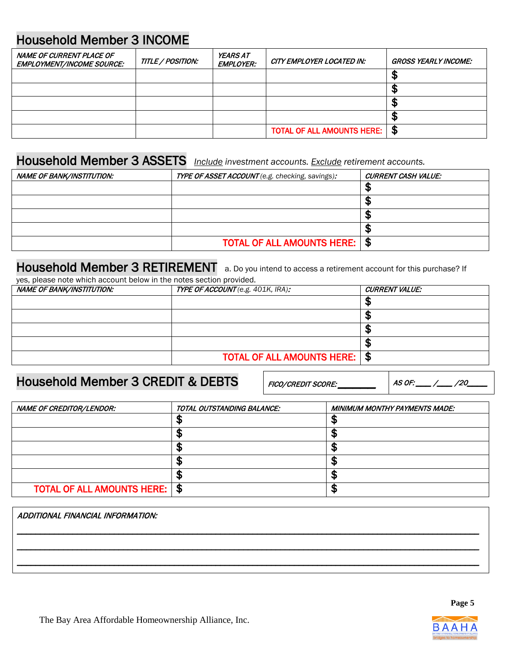# Household Member 3 INCOME

| NAME OF CURRENT PLACE OF<br><b>EMPLOYMENT/INCOME SOURCE:</b> | TITLE / POSITION: | <b>YEARS AT</b><br><i><b>EMPLOYER:</b></i> | CITY EMPLOYER LOCATED IN:         | GROSS YEARLY INCOME: |
|--------------------------------------------------------------|-------------------|--------------------------------------------|-----------------------------------|----------------------|
|                                                              |                   |                                            |                                   | л                    |
|                                                              |                   |                                            |                                   | Æ                    |
|                                                              |                   |                                            |                                   | Æ                    |
|                                                              |                   |                                            |                                   | мF                   |
|                                                              |                   |                                            | <b>TOTAL OF ALL AMOUNTS HERE:</b> | £                    |

## Household Member 3 ASSETS *Include investment accounts. Exclude retirement accounts.*

| NAME OF BANK/INSTITUTION: | TYPE OF ASSET ACCOUNT (e.g. checking, savings): | CURRENT CASH VALUE: |
|---------------------------|-------------------------------------------------|---------------------|
|                           |                                                 |                     |
|                           |                                                 |                     |
|                           |                                                 |                     |
|                           |                                                 |                     |
|                           | <b>TOTAL OF ALL AMOUNTS HERE:   \$</b>          |                     |

### Household Member 3 RETIREMENT a. Do you intend to access a retirement account for this purchase? If yes, please note which account below in the notes section provided.

| rca, picaac hote milion account below in the hotes acction provided. |                                          |                       |  |
|----------------------------------------------------------------------|------------------------------------------|-----------------------|--|
| <b>NAME OF BANK/INSTITUTION:</b>                                     | <b>TYPE OF ACCOUNT</b> (e.g. 401K, IRA): | <b>CURRENT VALUE:</b> |  |
|                                                                      |                                          |                       |  |
|                                                                      |                                          |                       |  |

| TOTAL OF ALL AMOUNTS HERE:   \$ |
|---------------------------------|

## Household Member 3 CREDIT & DEBTS

FICO/CREDIT SCORE: \_\_\_\_\_ AS OF: \_\_\_ /\_\_\_ /20\_\_\_\_

| NAME OF CREDITOR/LENDOR:               | TOTAL OUTSTANDING BALANCE: | <b>MINIMUM MONTHY PAYMENTS MADE:</b> |
|----------------------------------------|----------------------------|--------------------------------------|
|                                        |                            |                                      |
|                                        |                            |                                      |
|                                        |                            |                                      |
|                                        |                            |                                      |
|                                        |                            |                                      |
| <b>TOTAL OF ALL AMOUNTS HERE:   \$</b> |                            |                                      |

| ADDITIONAL FINANCIAL INFORMATION: |  |
|-----------------------------------|--|
|                                   |  |
|                                   |  |